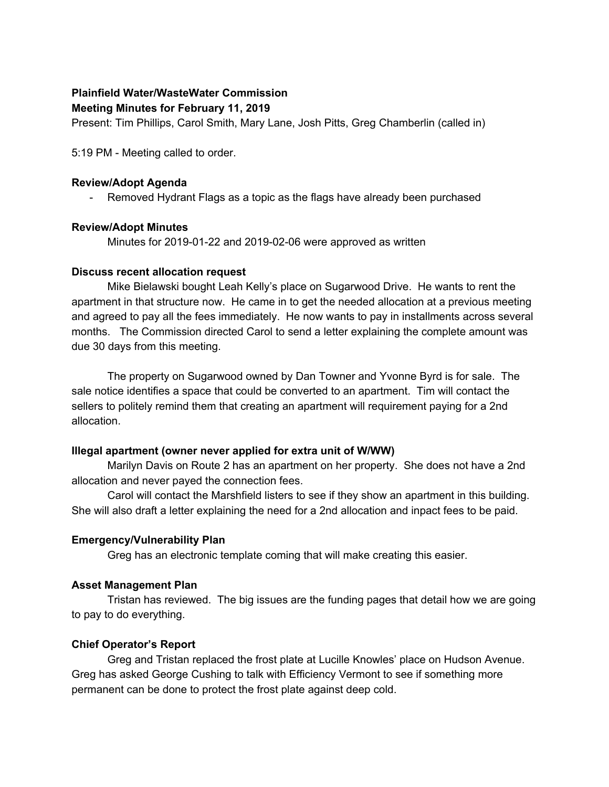### **Plainfield Water/WasteWater Commission**

#### **Meeting Minutes for February 11, 2019**

Present: Tim Phillips, Carol Smith, Mary Lane, Josh Pitts, Greg Chamberlin (called in)

5:19 PM - Meeting called to order.

#### **Review/Adopt Agenda**

- Removed Hydrant Flags as a topic as the flags have already been purchased

# **Review/Adopt Minutes**

Minutes for 2019-01-22 and 2019-02-06 were approved as written

#### **Discuss recent allocation request**

Mike Bielawski bought Leah Kelly's place on Sugarwood Drive. He wants to rent the apartment in that structure now. He came in to get the needed allocation at a previous meeting and agreed to pay all the fees immediately. He now wants to pay in installments across several months. The Commission directed Carol to send a letter explaining the complete amount was due 30 days from this meeting.

The property on Sugarwood owned by Dan Towner and Yvonne Byrd is for sale. The sale notice identifies a space that could be converted to an apartment. Tim will contact the sellers to politely remind them that creating an apartment will requirement paying for a 2nd allocation.

# **Illegal apartment (owner never applied for extra unit of W/WW)**

Marilyn Davis on Route 2 has an apartment on her property. She does not have a 2nd allocation and never payed the connection fees.

Carol will contact the Marshfield listers to see if they show an apartment in this building. She will also draft a letter explaining the need for a 2nd allocation and inpact fees to be paid.

# **Emergency/Vulnerability Plan**

Greg has an electronic template coming that will make creating this easier.

# **Asset Management Plan**

Tristan has reviewed. The big issues are the funding pages that detail how we are going to pay to do everything.

# **Chief Operator's Report**

Greg and Tristan replaced the frost plate at Lucille Knowles' place on Hudson Avenue. Greg has asked George Cushing to talk with Efficiency Vermont to see if something more permanent can be done to protect the frost plate against deep cold.